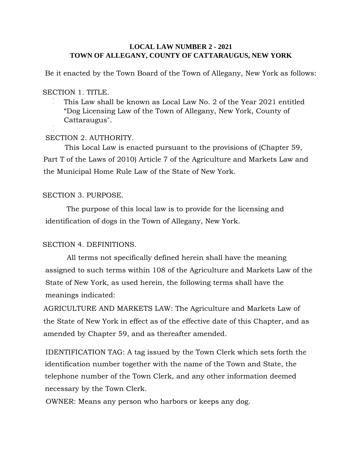## **LOCAL LAW NUMBER 2 - 2021 TOWN OF ALLEGANY, COUNTY OF CATTARAUGUS, NEW YORK**

Be it enacted by the Town Board of the Town of Allegany, New York as follows:

## SECTION 1. TITLE.

This Law shall be known as Local Law No. 2 of the Year 2021 entitled "Dog Licensing Law of the Town of Allegany, New York, County of Cattaraugus".

# SECTION 2. AUTHORITY.

This Local Law is enacted pursuant to the provisions of (Chapter 59, Part T of the Laws of 2010) Article 7 of the Agriculture and Markets Law and the Municipal Home Rule Law of the State of New York.

# SECTION 3. PURPOSE.

The purpose of this local law is to provide for the licensing and identification of dogs in the Town of Allegany, New York.

# SECTION 4. DEFINITIONS.

All terms not specifically defined herein shall have the meaning assigned to such terms within 108 of the Agriculture and Markets Law of the State of New York, as used herein, the following terms shall have the meanings indicated:

AGRICULTURE AND MARKETS LAW: The Agriculture and Markets Law of the State of New York in effect as of the effective date of this Chapter, and as amended by Chapter 59, and as thereafter amended.

IDENTIFICATION TAG: A tag issued by the Town Clerk which sets forth the identification number together with the name of the Town and State, the telephone number of the Town Clerk, and any other information deemed necessary by the Town Clerk.

OWNER: Means any person who harbors or keeps any dog.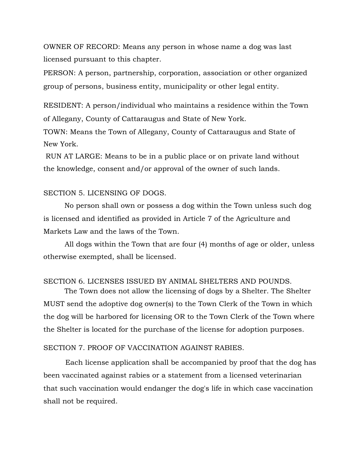OWNER OF RECORD: Means any person in whose name a dog was last licensed pursuant to this chapter.

PERSON: A person, partnership, corporation, association or other organized group of persons, business entity, municipality or other legal entity.

RESIDENT: A person/individual who maintains a residence within the Town of Allegany, County of Cattaraugus and State of New York.

TOWN: Means the Town of Allegany, County of Cattaraugus and State of New York.

RUN AT LARGE: Means to be in a public place or on private land without the knowledge, consent and/or approval of the owner of such lands.

## SECTION 5. LICENSING OF DOGS.

No person shall own or possess a dog within the Town unless such dog is licensed and identified as provided in Article 7 of the Agriculture and Markets Law and the laws of the Town.

All dogs within the Town that are four (4) months of age or older, unless otherwise exempted, shall be licensed.

## SECTION 6. LICENSES ISSUED BY ANIMAL SHELTERS AND POUNDS.

The Town does not allow the licensing of dogs by a Shelter. The Shelter MUST send the adoptive dog owner(s) to the Town Clerk of the Town in which the dog will be harbored for licensing OR to the Town Clerk of the Town where the Shelter is located for the purchase of the license for adoption purposes.

#### SECTION 7. PROOF OF VACCINATION AGAINST RABIES.

Each license application shall be accompanied by proof that the dog has been vaccinated against rabies or a statement from a licensed veterinarian that such vaccination would endanger the dog's life in which case vaccination shall not be required.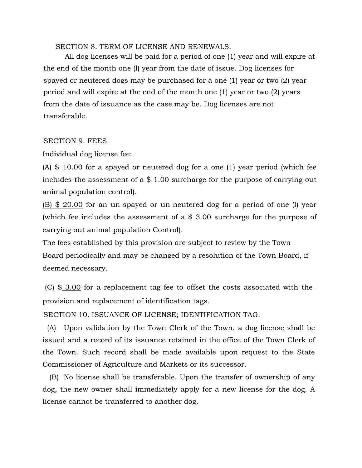SECTION 8. TERM OF LICENSE AND RENEWALS.

All dog licenses will be paid for a period of one (1) year and will expire at the end of the month one (l) year from the date of issue. Dog licenses for spayed or neutered dogs may be purchased for a one (1) year or two (2) year period and will expire at the end of the month one (1) year or two (2) years from the date of issuance as the case may be. Dog licenses are not transferable.

## SECTION 9. FEES.

Individual dog license fee:

(A) \$\_10.00 for a spayed or neutered dog for a one (1) year period (which fee includes the assessment of a \$ 1.00 surcharge for the purpose of carrying out animal population control).

(B) \$ 20.00 for an un-spayed or un-neutered dog for a period of one (l) year (which fee includes the assessment of a \$ 3.00 surcharge for the purpose of carrying out animal population Control).

The fees established by this provision are subject to review by the Town Board periodically and may be changed by a resolution of the Town Board, if deemed necessary.

(C) \$ 3.00 for a replacement tag fee to offset the costs associated with the provision and replacement of identification tags.

SECTION 10. ISSUANCE OF LICENSE; IDENTIFICATION TAG.

 (A) Upon validation by the Town Clerk of the Town, a dog license shall be issued and a record of its issuance retained in the office of the Town Clerk of the Town. Such record shall be made available upon request to the State Commissioner of Agriculture and Markets or its successor.

 (B) No license shall be transferable. Upon the transfer of ownership of any dog, the new owner shall immediately apply for a new license for the dog. A license cannot be transferred to another dog.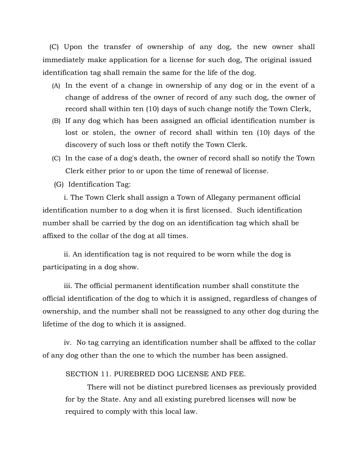(C) Upon the transfer of ownership of any dog, the new owner shall immediately make application for a license for such dog, The original issued identification tag shall remain the same for the life of the dog.

- (A) In the event of a change in ownership of any dog or in the event of a change of address of the owner of record of any such dog, the owner of record shall within ten (10) days of such change notify the Town Clerk,
- (B) If any dog which has been assigned an official identification number is lost or stolen, the owner of record shall within ten (10) days of the discovery of such loss or theft notify the Town Clerk.
- (C) In the case of a dog's death, the owner of record shall so notify the Town Clerk either prior to or upon the time of renewal of license.
- (G) Identification Tag:

i. The Town Clerk shall assign a Town of Allegany permanent official identification number to a dog when it is first licensed. Such identification number shall be carried by the dog on an identification tag which shall be affixed to the collar of the dog at all times.

ii. An identification tag is not required to be worn while the dog is participating in a dog show.

iii. The official permanent identification number shall constitute the official identification of the dog to which it is assigned, regardless of changes of ownership, and the number shall not be reassigned to any other dog during the lifetime of the dog to which it is assigned.

iv. No tag carrying an identification number shall be affixed to the collar of any dog other than the one to which the number has been assigned.

SECTION 11. PUREBRED DOG LICENSE AND FEE.

There will not be distinct purebred licenses as previously provided for by the State. Any and all existing purebred licenses will now be required to comply with this local law.